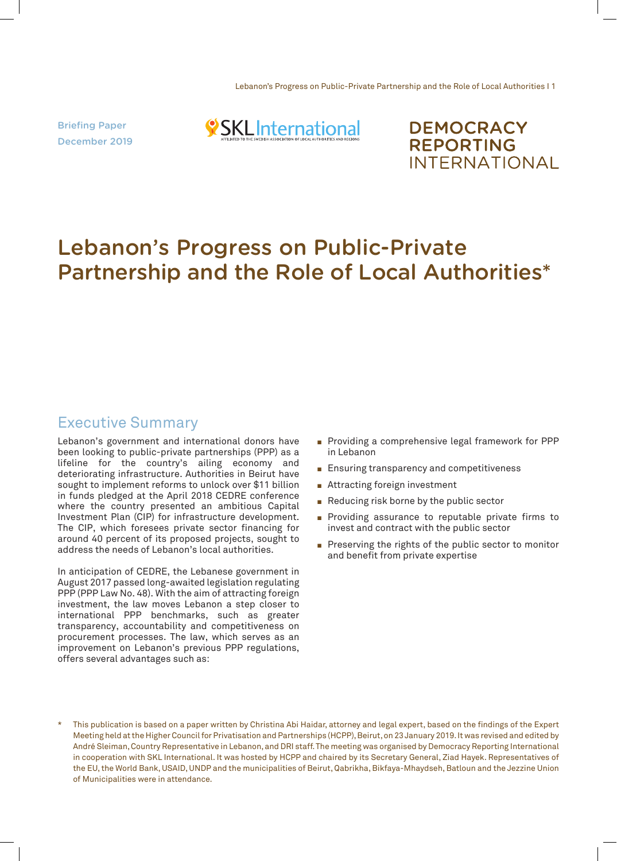Briefing Paper December 2019



**DEMOCRACY REPORTING INTERNATIONAL** 

# Lebanon's Progress on Public-Private Partnership and the Role of Local Authorities\*

## Executive Summary

Lebanon's government and international donors have been looking to public-private partnerships (PPP) as a lifeline for the country's ailing economy and deteriorating infrastructure. Authorities in Beirut have sought to implement reforms to unlock over \$11 billion in funds pledged at the April 2018 CEDRE conference where the country presented an ambitious Capital Investment Plan (CIP) for infrastructure development. The CIP, which foresees private sector financing for around 40 percent of its proposed projects, sought to address the needs of Lebanon's local authorities.

In anticipation of CEDRE, the Lebanese government in August 2017 passed long-awaited legislation regulating PPP (PPP Law No. 48). With the aim of attracting foreign investment, the law moves Lebanon a step closer to international PPP benchmarks, such as greater transparency, accountability and competitiveness on procurement processes. The law, which serves as an improvement on Lebanon's previous PPP regulations, offers several advantages such as:

- **Providing a comprehensive legal framework for PPP** in Lebanon
- $\blacksquare$  Ensuring transparency and competitiveness
- $\blacksquare$  Attracting foreign investment
- Reducing risk borne by the public sector
- **Providing assurance to reputable private firms to** invest and contract with the public sector
- Preserving the rights of the public sector to monitor and benefit from private expertise

This publication is based on a paper written by Christina Abi Haidar, attorney and legal expert, based on the findings of the Expert Meeting held at the Higher Council for Privatisation and Partnerships (HCPP), Beirut, on 23 January 2019. It was revised and edited by André Sleiman, Country Representative in Lebanon, and DRI staff. The meeting was organised by Democracy Reporting International in cooperation with SKL International. It was hosted by HCPP and chaired by its Secretary General, Ziad Hayek. Representatives of the EU, the World Bank, USAID, UNDP and the municipalities of Beirut, Qabrikha, Bikfaya-Mhaydseh, Batloun and the Jezzine Union of Municipalities were in attendance.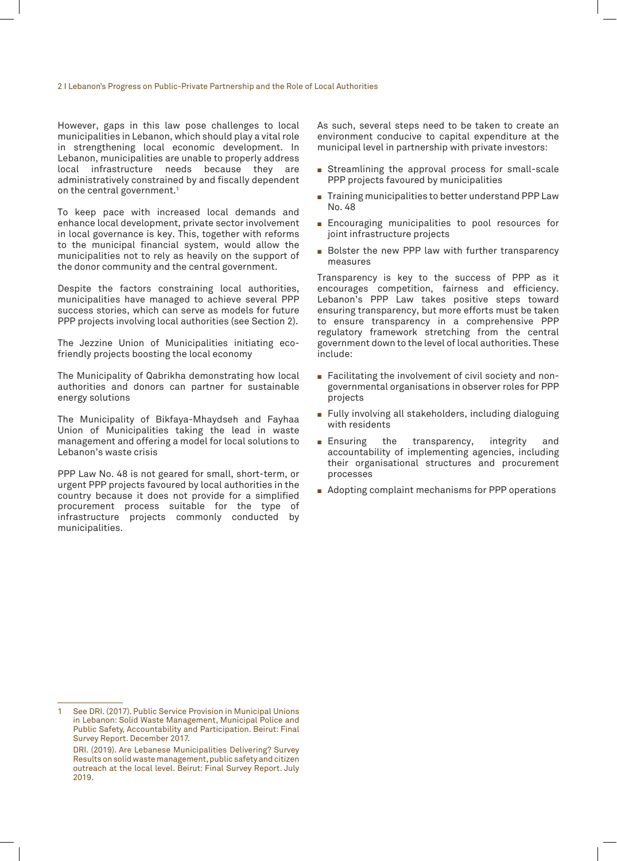However, gaps in this law pose challenges to local municipalities in Lebanon, which should play a vital role in strengthening local economic development. In Lebanon, municipalities are unable to properly address local infrastructure needs because they are administratively constrained by and fiscally dependent on the central government.<sup>1</sup>

To keep pace with increased local demands and enhance local development, private sector involvement in local governance is key. This, together with reforms to the municipal financial system, would allow the municipalities not to rely as heavily on the support of the donor community and the central government.

Despite the factors constraining local authorities, municipalities have managed to achieve several PPP success stories, which can serve as models for future PPP projects involving local authorities (see Section 2).

The Jezzine Union of Municipalities initiating ecofriendly projects boosting the local economy

The Municipality of Qabrikha demonstrating how local authorities and donors can partner for sustainable energy solutions

The Municipality of Bikfaya-Mhaydseh and Fayhaa Union of Municipalities taking the lead in waste management and offering a model for local solutions to Lebanon's waste crisis

PPP Law No. 48 is not geared for small, short-term, or urgent PPP projects favoured by local authorities in the country because it does not provide for a simplified procurement process suitable for the type of infrastructure projects commonly conducted by municipalities.

As such, several steps need to be taken to create an environment conducive to capital expenditure at the municipal level in partnership with private investors:

- Streamlining the approval process for small-scale PPP projects favoured by municipalities
- $\blacksquare$  Training municipalities to better understand PPP Law No. 48
- **Encouraging municipalities to pool resources for** joint infrastructure projects
- Bolster the new PPP law with further transparency measures

Transparency is key to the success of PPP as it encourages competition, fairness and efficiency. Lebanon's PPP Law takes positive steps toward ensuring transparency, but more efforts must be taken to ensure transparency in a comprehensive PPP regulatory framework stretching from the central government down to the level of local authorities. These include:

- **Facilitating the involvement of civil society and non**governmental organisations in observer roles for PPP projects
- Fully involving all stakeholders, including dialoguing with residents
- **Ensuring** the transparency, integrity and accountability of implementing agencies, including their organisational structures and procurement processes
- $\blacksquare$  Adopting complaint mechanisms for PPP operations

See DRI. (2017). Public Service Provision in Municipal Unions in Lebanon: Solid Waste Management, Municipal Police and Public Safety, Accountability and Participation. Beirut: Final Survey Report. December 2017.

DRI. (2019). Are Lebanese Municipalities Delivering? Survey Results on solid waste management, public safety and citizen outreach at the local level. Beirut: Final Survey Report. July 2019.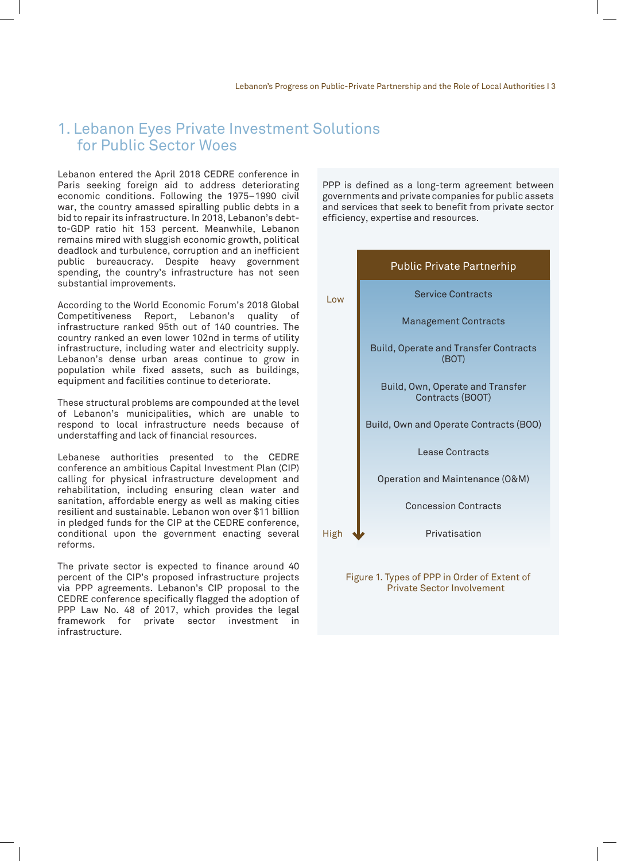## 1. Lebanon Eyes Private Investment Solutions for Public Sector Woes

Lebanon entered the April 2018 CEDRE conference in Paris seeking foreign aid to address deteriorating economic conditions. Following the 1975–1990 civil war, the country amassed spiralling public debts in a bid to repair its infrastructure. In 2018, Lebanon's debtto-GDP ratio hit 153 percent. Meanwhile, Lebanon remains mired with sluggish economic growth, political deadlock and turbulence, corruption and an inefficient public bureaucracy. Despite heavy government spending, the country's infrastructure has not seen substantial improvements.

According to the World Economic Forum's 2018 Global Competitiveness Report, Lebanon's quality of infrastructure ranked 95th out of 140 countries. The country ranked an even lower 102nd in terms of utility infrastructure, including water and electricity supply. Lebanon's dense urban areas continue to grow in population while fixed assets, such as buildings, equipment and facilities continue to deteriorate.

These structural problems are compounded at the level of Lebanon's municipalities, which are unable to respond to local infrastructure needs because of understaffing and lack of financial resources.

Lebanese authorities presented to the CEDRE conference an ambitious Capital Investment Plan (CIP) calling for physical infrastructure development and rehabilitation, including ensuring clean water and sanitation, affordable energy as well as making cities resilient and sustainable. Lebanon won over \$11 billion in pledged funds for the CIP at the CEDRE conference, conditional upon the government enacting several reforms.

The private sector is expected to finance around 40 percent of the CIP's proposed infrastructure projects via PPP agreements. Lebanon's CIP proposal to the CEDRE conference specifically flagged the adoption of PPP Law No. 48 of 2017, which provides the legal framework for private sector investment in infrastructure.

PPP is defined as a long-term agreement between governments and private companies for public assets and services that seek to benefit from private sector efficiency, expertise and resources.



Figure 1. Types of PPP in Order of Extent of Private Sector Involvement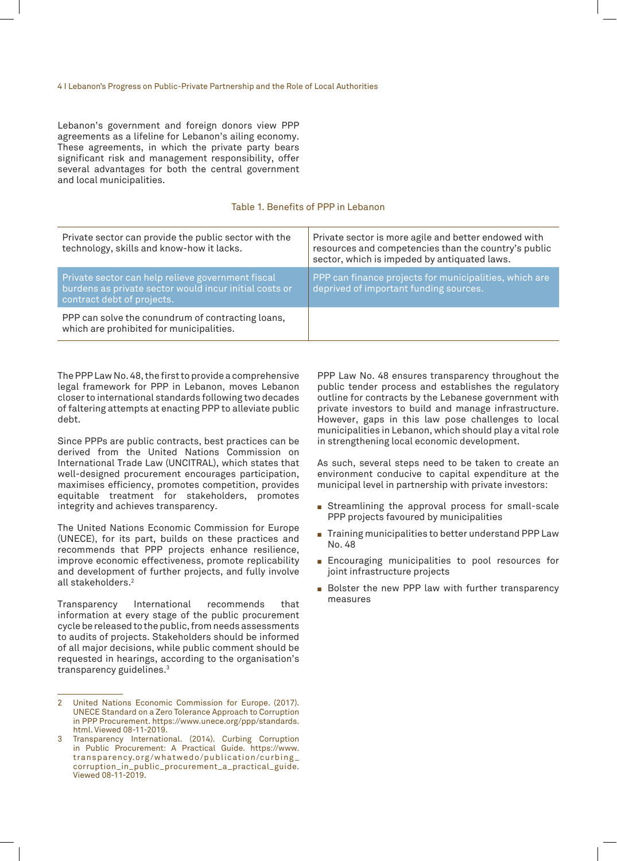Lebanon's government and foreign donors view PPP agreements as a lifeline for Lebanon's ailing economy. These agreements, in which the private party bears significant risk and management responsibility, offer several advantages for both the central government and local municipalities.

#### Table 1. Benefits of PPP in Lebanon

| Private sector can provide the public sector with the<br>technology, skills and know-how it lacks.                                        | Private sector is more agile and better endowed with<br>resources and competencies than the country's public<br>sector, which is impeded by antiquated laws. |
|-------------------------------------------------------------------------------------------------------------------------------------------|--------------------------------------------------------------------------------------------------------------------------------------------------------------|
| Private sector can help relieve government fiscal<br>burdens as private sector would incur initial costs or<br>contract debt of projects. | PPP can finance projects for municipalities, which are<br>deprived of important funding sources.                                                             |
| PPP can solve the conundrum of contracting loans,<br>which are prohibited for municipalities.                                             |                                                                                                                                                              |

The PPP Law No. 48, the first to provide a comprehensive legal framework for PPP in Lebanon, moves Lebanon closer to international standards following two decades of faltering attempts at enacting PPP to alleviate public debt.

Since PPPs are public contracts, best practices can be derived from the United Nations Commission on International Trade Law (UNCITRAL), which states that well-designed procurement encourages participation, maximises efficiency, promotes competition, provides equitable treatment for stakeholders, promotes integrity and achieves transparency.

The United Nations Economic Commission for Europe (UNECE), for its part, builds on these practices and recommends that PPP projects enhance resilience, improve economic effectiveness, promote replicability and development of further projects, and fully involve all stakeholders.2

Transparency International recommends that information at every stage of the public procurement cycle be released to the public, from needs assessments to audits of projects. Stakeholders should be informed of all major decisions, while public comment should be requested in hearings, according to the organisation's transparency guidelines.3

PPP Law No. 48 ensures transparency throughout the public tender process and establishes the regulatory outline for contracts by the Lebanese government with private investors to build and manage infrastructure. However, gaps in this law pose challenges to local municipalities in Lebanon, which should play a vital role in strengthening local economic development.

As such, several steps need to be taken to create an environment conducive to capital expenditure at the municipal level in partnership with private investors:

- **Extreamlining the approval process for small-scale** PPP projects favoured by municipalities
- $\blacksquare$  Training municipalities to better understand PPP Law No. 48
- **Encouraging municipalities to pool resources for** joint infrastructure projects
- Bolster the new PPP law with further transparency measures

United Nations Economic Commission for Europe. (2017). UNECE Standard on a Zero Tolerance Approach to Corruption in PPP Procurement. https://www.unece.org/ppp/standards. html. Viewed 08-11-2019.

<sup>3</sup> Transparency International. (2014). Curbing Corruption in Public Procurement: A Practical Guide. https://www. transparency.org /whatwedo/publication/curbing \_ corruption\_in\_public\_procurement\_a\_practical\_guide. Viewed 08-11-2019.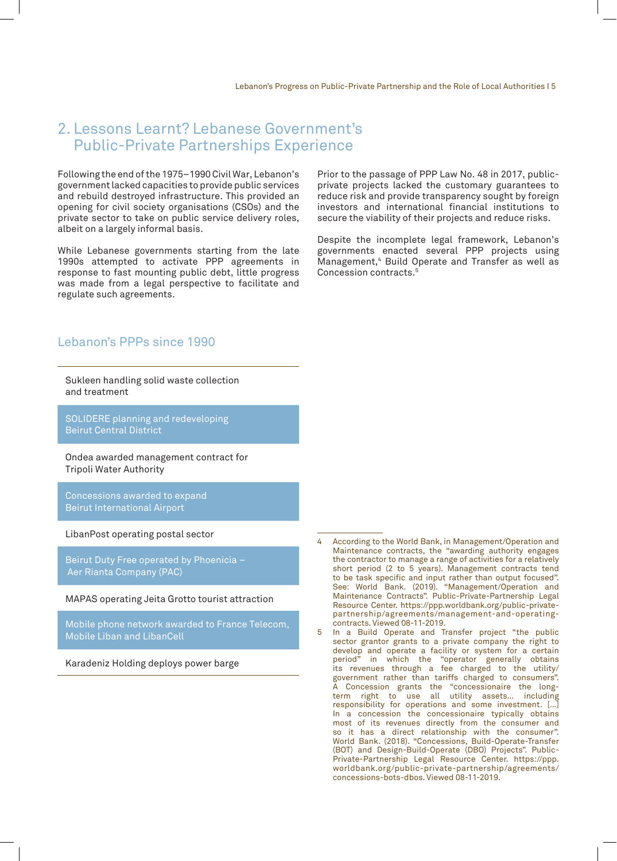## 2. Lessons Learnt? Lebanese Government's Public-Private Partnerships Experience

Following the end of the 1975–1990 Civil War, Lebanon's government lacked capacities to provide public services and rebuild destroyed infrastructure. This provided an opening for civil society organisations (CSOs) and the private sector to take on public service delivery roles, albeit on a largely informal basis.

While Lebanese governments starting from the late 1990s attempted to activate PPP agreements in response to fast mounting public debt, little progress was made from a legal perspective to facilitate and regulate such agreements.

Lebanon's PPPs since 1990

Sukleen handling solid waste collection and treatment

SOLIDERE planning and redeveloping Beirut Central District

Ondea awarded management contract for Tripoli Water Authority

Concessions awarded to expand Beirut International Airport

LibanPost operating postal sector

Beirut Duty Free operated by Phoenicia – Aer Rianta Company (PAC)

MAPAS operating Jeita Grotto tourist attraction

Mobile phone network awarded to France Telecom, Mobile Liban and LibanCell

Karadeniz Holding deploys power barge

Prior to the passage of PPP Law No. 48 in 2017, publicprivate projects lacked the customary guarantees to reduce risk and provide transparency sought by foreign investors and international financial institutions to secure the viability of their projects and reduce risks.

Despite the incomplete legal framework, Lebanon's governments enacted several PPP projects using Management,4 Build Operate and Transfer as well as Concession contracts.5

- 4 According to the World Bank, in Management/Operation and Maintenance contracts, the "awarding authority engages the contractor to manage a range of activities for a relatively short period (2 to 5 years). Management contracts tend to be task specific and input rather than output focused". See: World Bank. (2019). "Management/Operation and Maintenance Contracts". Public-Private-Partnership Legal Resource Center. https://ppp.worldbank.org/public-privatepartnership/agreements/management-and-operatingcontracts. Viewed 08-11-2019.
- 5 In a Build Operate and Transfer project "the public sector grantor grants to a private company the right to develop and operate a facility or system for a certain period" in which the "operator generally obtains its revenues through a fee charged to the utility/ government rather than tariffs charged to consumers". A Concession grants the "concessionaire the longterm right to use all utility assets… including responsibility for operations and some investment. […] In a concession the concessionaire typically obtains most of its revenues directly from the consumer and so it has a direct relationship with the consumer". World Bank. (2018). "Concessions, Build-Operate-Transfer (BOT) and Design-Build-Operate (DBO) Projects". Public-Private-Partnership Legal Resource Center. https://ppp. worldbank.org/public-private-partnership/agreements/ concessions-bots-dbos. Viewed 08-11-2019.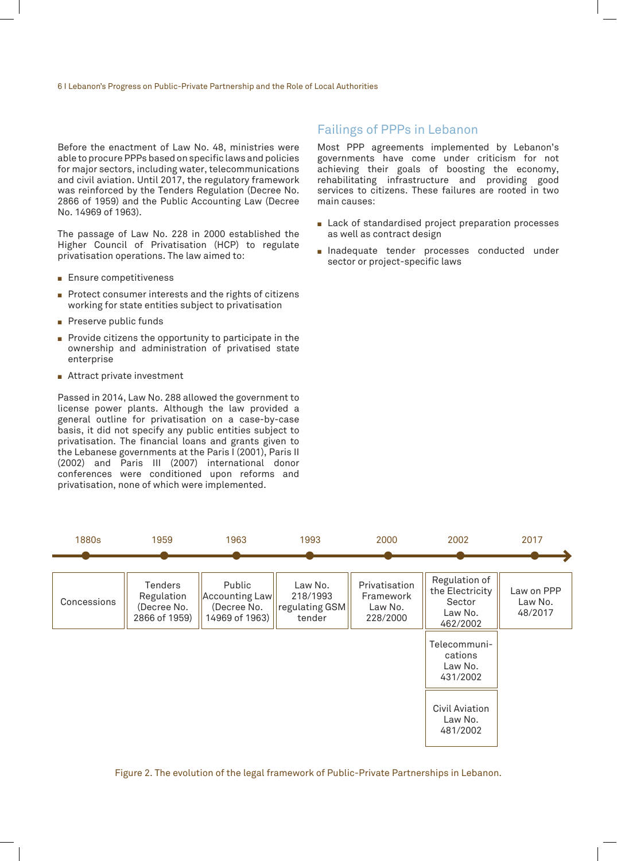Before the enactment of Law No. 48, ministries were able to procure PPPs based on specific laws and policies for major sectors, including water, telecommunications and civil aviation. Until 2017, the regulatory framework was reinforced by the Tenders Regulation (Decree No. 2866 of 1959) and the Public Accounting Law (Decree No. 14969 of 1963).

The passage of Law No. 228 in 2000 established the Higher Council of Privatisation (HCP) to regulate privatisation operations. The law aimed to:

- $\blacksquare$  Ensure competitiveness
- Protect consumer interests and the rights of citizens working for state entities subject to privatisation
- $\blacksquare$  Preserve public funds
- $\blacksquare$  Provide citizens the opportunity to participate in the ownership and administration of privatised state enterprise
- $\blacksquare$  Attract private investment

Passed in 2014, Law No. 288 allowed the government to license power plants. Although the law provided a general outline for privatisation on a case-by-case basis, it did not specify any public entities subject to privatisation. The financial loans and grants given to the Lebanese governments at the Paris I (2001), Paris II (2002) and Paris III (2007) international donor conferences were conditioned upon reforms and privatisation, none of which were implemented.

#### Failings of PPPs in Lebanon

Most PPP agreements implemented by Lebanon's governments have come under criticism for not achieving their goals of boosting the economy, rehabilitating infrastructure and providing good services to citizens. These failures are rooted in two main causes:

- $\blacksquare$  Lack of standardised project preparation processes as well as contract design
- **n** Inadequate tender processes conducted under sector or project-specific laws



Figure 2. The evolution of the legal framework of Public-Private Partnerships in Lebanon.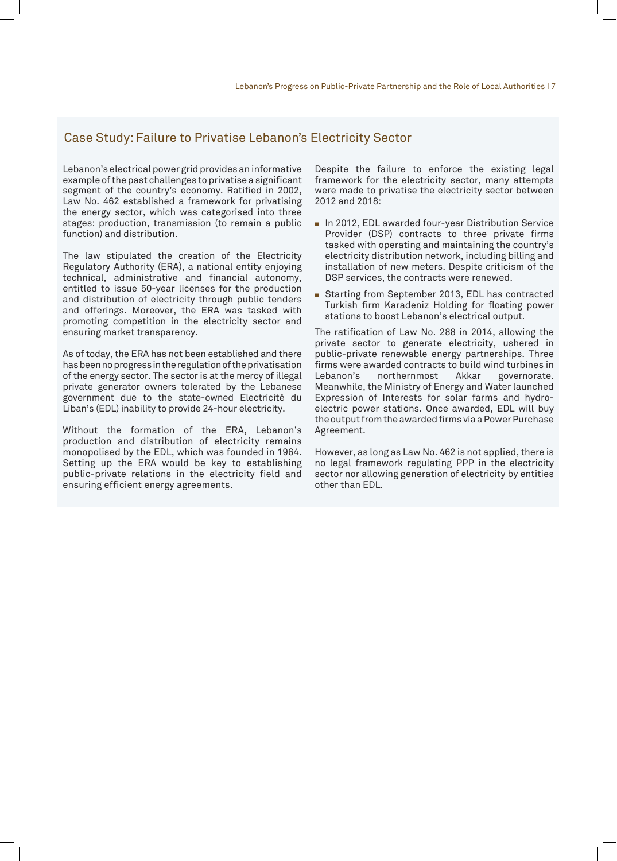#### Case Study: Failure to Privatise Lebanon's Electricity Sector

Lebanon's electrical power grid provides an informative example of the past challenges to privatise a significant segment of the country's economy. Ratified in 2002, Law No. 462 established a framework for privatising the energy sector, which was categorised into three stages: production, transmission (to remain a public function) and distribution.

The law stipulated the creation of the Electricity Regulatory Authority (ERA), a national entity enjoying technical, administrative and financial autonomy, entitled to issue 50-year licenses for the production and distribution of electricity through public tenders and offerings. Moreover, the ERA was tasked with promoting competition in the electricity sector and ensuring market transparency.

As of today, the ERA has not been established and there has been no progress in the regulation of the privatisation of the energy sector. The sector is at the mercy of illegal private generator owners tolerated by the Lebanese government due to the state-owned Electricité du Liban's (EDL) inability to provide 24-hour electricity.

Without the formation of the ERA, Lebanon's production and distribution of electricity remains monopolised by the EDL, which was founded in 1964. Setting up the ERA would be key to establishing public-private relations in the electricity field and ensuring efficient energy agreements.

Despite the failure to enforce the existing legal framework for the electricity sector, many attempts were made to privatise the electricity sector between 2012 and 2018:

- In 2012, EDL awarded four-year Distribution Service Provider (DSP) contracts to three private firms tasked with operating and maintaining the country's electricity distribution network, including billing and installation of new meters. Despite criticism of the DSP services, the contracts were renewed.
- Starting from September 2013, EDL has contracted Turkish firm Karadeniz Holding for floating power stations to boost Lebanon's electrical output.

The ratification of Law No. 288 in 2014, allowing the private sector to generate electricity, ushered in public-private renewable energy partnerships. Three firms were awarded contracts to build wind turbines in<br>Lebanon's northernmost Akkar governorate. Lebanon's northernmost Akkar governorate. Meanwhile, the Ministry of Energy and Water launched Expression of Interests for solar farms and hydroelectric power stations. Once awarded, EDL will buy the output from the awarded firms via a Power Purchase Agreement.

However, as long as Law No. 462 is not applied, there is no legal framework regulating PPP in the electricity sector nor allowing generation of electricity by entities other than EDL.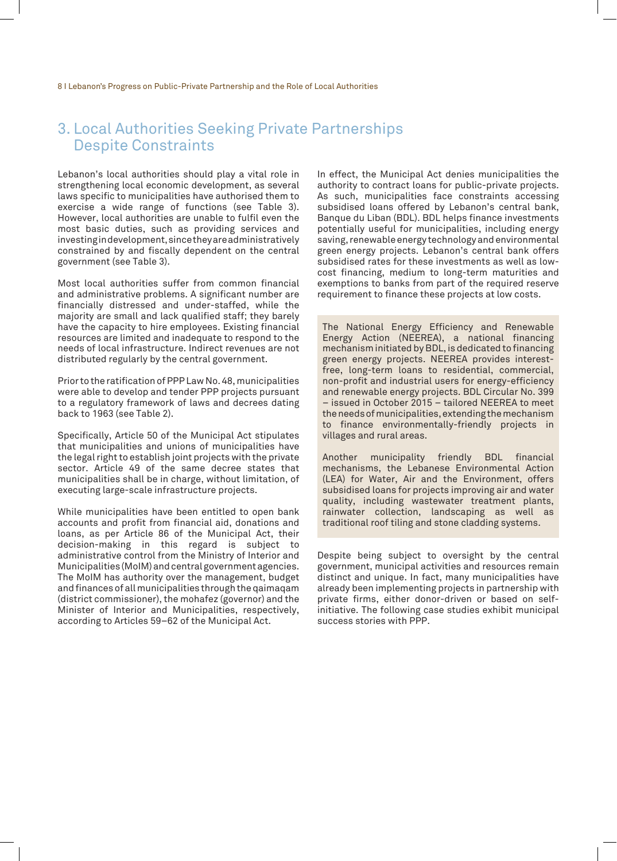## 3. Local Authorities Seeking Private Partnerships Despite Constraints

Lebanon's local authorities should play a vital role in strengthening local economic development, as several laws specific to municipalities have authorised them to exercise a wide range of functions (see Table 3). However, local authorities are unable to fulfil even the most basic duties, such as providing services and investing in development, since they are administratively constrained by and fiscally dependent on the central government (see Table 3).

Most local authorities suffer from common financial and administrative problems. A significant number are financially distressed and under-staffed, while the majority are small and lack qualified staff; they barely have the capacity to hire employees. Existing financial resources are limited and inadequate to respond to the needs of local infrastructure. Indirect revenues are not distributed regularly by the central government.

Prior to the ratification of PPP Law No. 48, municipalities were able to develop and tender PPP projects pursuant to a regulatory framework of laws and decrees dating back to 1963 (see Table 2).

Specifically, Article 50 of the Municipal Act stipulates that municipalities and unions of municipalities have the legal right to establish joint projects with the private sector. Article 49 of the same decree states that municipalities shall be in charge, without limitation, of executing large-scale infrastructure projects.

While municipalities have been entitled to open bank accounts and profit from financial aid, donations and loans, as per Article 86 of the Municipal Act, their decision-making in this regard is subject to administrative control from the Ministry of Interior and Municipalities (MoIM) and central government agencies. The MoIM has authority over the management, budget and finances of all municipalities through the qaimaqam (district commissioner), the mohafez (governor) and the Minister of Interior and Municipalities, respectively, according to Articles 59–62 of the Municipal Act.

In effect, the Municipal Act denies municipalities the authority to contract loans for public-private projects. As such, municipalities face constraints accessing subsidised loans offered by Lebanon's central bank, Banque du Liban (BDL). BDL helps finance investments potentially useful for municipalities, including energy saving, renewable energy technology and environmental green energy projects. Lebanon's central bank offers subsidised rates for these investments as well as lowcost financing, medium to long-term maturities and exemptions to banks from part of the required reserve requirement to finance these projects at low costs.

The National Energy Efficiency and Renewable Energy Action (NEEREA), a national financing mechanism initiated by BDL, is dedicated to financing green energy projects. NEEREA provides interestfree, long-term loans to residential, commercial, non-profit and industrial users for energy-efficiency and renewable energy projects. BDL Circular No. 399 – issued in October 2015 – tailored NEEREA to meet the needs of municipalities, extending the mechanism to finance environmentally-friendly projects in villages and rural areas.

Another municipality friendly BDL financial mechanisms, the Lebanese Environmental Action (LEA) for Water, Air and the Environment, offers subsidised loans for projects improving air and water quality, including wastewater treatment plants, rainwater collection, landscaping as well as traditional roof tiling and stone cladding systems.

Despite being subject to oversight by the central government, municipal activities and resources remain distinct and unique. In fact, many municipalities have already been implementing projects in partnership with private firms, either donor-driven or based on selfinitiative. The following case studies exhibit municipal success stories with PPP.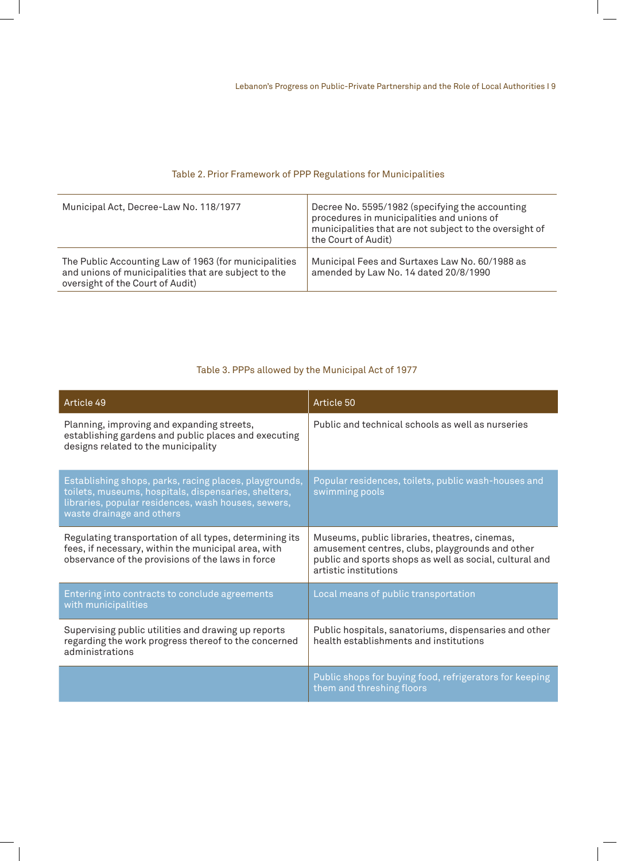#### Table 2. Prior Framework of PPP Regulations for Municipalities

| Municipal Act, Decree-Law No. 118/1977                                                                                                            | Decree No. 5595/1982 (specifying the accounting<br>procedures in municipalities and unions of<br>municipalities that are not subject to the oversight of<br>the Court of Audit) |
|---------------------------------------------------------------------------------------------------------------------------------------------------|---------------------------------------------------------------------------------------------------------------------------------------------------------------------------------|
| The Public Accounting Law of 1963 (for municipalities<br>and unions of municipalities that are subject to the<br>oversight of the Court of Audit) | Municipal Fees and Surtaxes Law No. 60/1988 as<br>amended by Law No. 14 dated 20/8/1990                                                                                         |

## Table 3. PPPs allowed by the Municipal Act of 1977

| Article 49                                                                                                                                                                                         | Article 50                                                                                                                                                                           |
|----------------------------------------------------------------------------------------------------------------------------------------------------------------------------------------------------|--------------------------------------------------------------------------------------------------------------------------------------------------------------------------------------|
| Planning, improving and expanding streets,<br>establishing gardens and public places and executing<br>designs related to the municipality                                                          | Public and technical schools as well as nurseries                                                                                                                                    |
| Establishing shops, parks, racing places, playgrounds,<br>toilets, museums, hospitals, dispensaries, shelters,<br>libraries, popular residences, wash houses, sewers,<br>waste drainage and others | Popular residences, toilets, public wash-houses and<br>swimming pools                                                                                                                |
| Regulating transportation of all types, determining its<br>fees, if necessary, within the municipal area, with<br>observance of the provisions of the laws in force                                | Museums, public libraries, theatres, cinemas,<br>amusement centres, clubs, playgrounds and other<br>public and sports shops as well as social, cultural and<br>artistic institutions |
| Entering into contracts to conclude agreements<br>with municipalities                                                                                                                              | Local means of public transportation                                                                                                                                                 |
| Supervising public utilities and drawing up reports<br>regarding the work progress thereof to the concerned<br>administrations                                                                     | Public hospitals, sanatoriums, dispensaries and other<br>health establishments and institutions                                                                                      |
|                                                                                                                                                                                                    | Public shops for buying food, refrigerators for keeping<br>them and threshing floors                                                                                                 |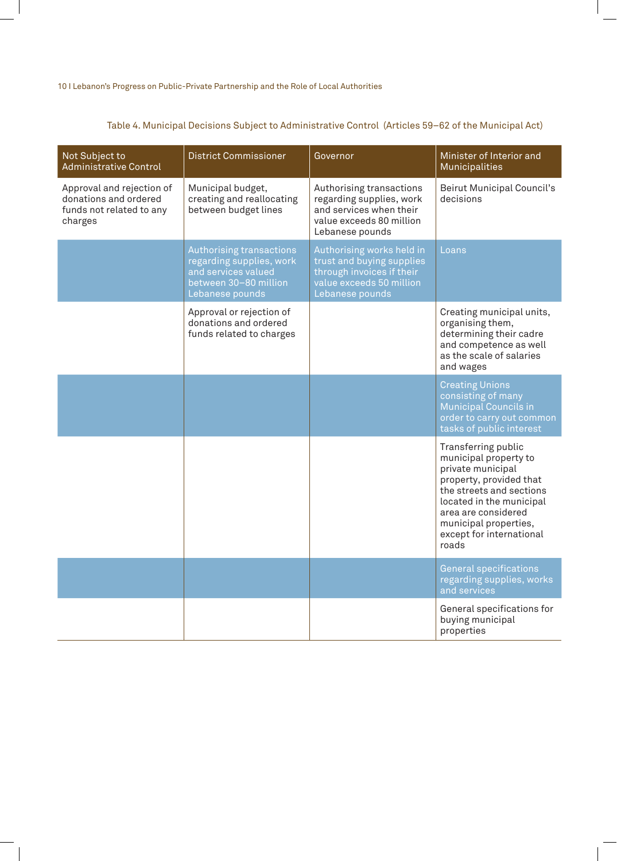| Not Subject to<br><b>Administrative Control</b>                                           | <b>District Commissioner</b>                                                                                            | Governor                                                                                                                           | Minister of Interior and<br><b>Municipalities</b>                                                                                                                                                                                         |
|-------------------------------------------------------------------------------------------|-------------------------------------------------------------------------------------------------------------------------|------------------------------------------------------------------------------------------------------------------------------------|-------------------------------------------------------------------------------------------------------------------------------------------------------------------------------------------------------------------------------------------|
| Approval and rejection of<br>donations and ordered<br>funds not related to any<br>charges | Municipal budget,<br>creating and reallocating<br>between budget lines                                                  | Authorising transactions<br>regarding supplies, work<br>and services when their<br>value exceeds 80 million<br>Lebanese pounds     | Beirut Municipal Council's<br>decisions                                                                                                                                                                                                   |
|                                                                                           | Authorising transactions<br>regarding supplies, work<br>and services valued<br>between 30-80 million<br>Lebanese pounds | Authorising works held in<br>trust and buying supplies<br>through invoices if their<br>value exceeds 50 million<br>Lebanese pounds | Loans                                                                                                                                                                                                                                     |
|                                                                                           | Approval or rejection of<br>donations and ordered<br>funds related to charges                                           |                                                                                                                                    | Creating municipal units,<br>organising them,<br>determining their cadre<br>and competence as well<br>as the scale of salaries<br>and wages                                                                                               |
|                                                                                           |                                                                                                                         |                                                                                                                                    | <b>Creating Unions</b><br>consisting of many<br><b>Municipal Councils in</b><br>order to carry out common<br>tasks of public interest                                                                                                     |
|                                                                                           |                                                                                                                         |                                                                                                                                    | Transferring public<br>municipal property to<br>private municipal<br>property, provided that<br>the streets and sections<br>located in the municipal<br>area are considered<br>municipal properties,<br>except for international<br>roads |
|                                                                                           |                                                                                                                         |                                                                                                                                    | <b>General specifications</b><br>regarding supplies, works<br>and services                                                                                                                                                                |
|                                                                                           |                                                                                                                         |                                                                                                                                    | General specifications for<br>buying municipal<br>properties                                                                                                                                                                              |

## Table 4. Municipal Decisions Subject to Administrative Control (Articles 59–62 of the Municipal Act)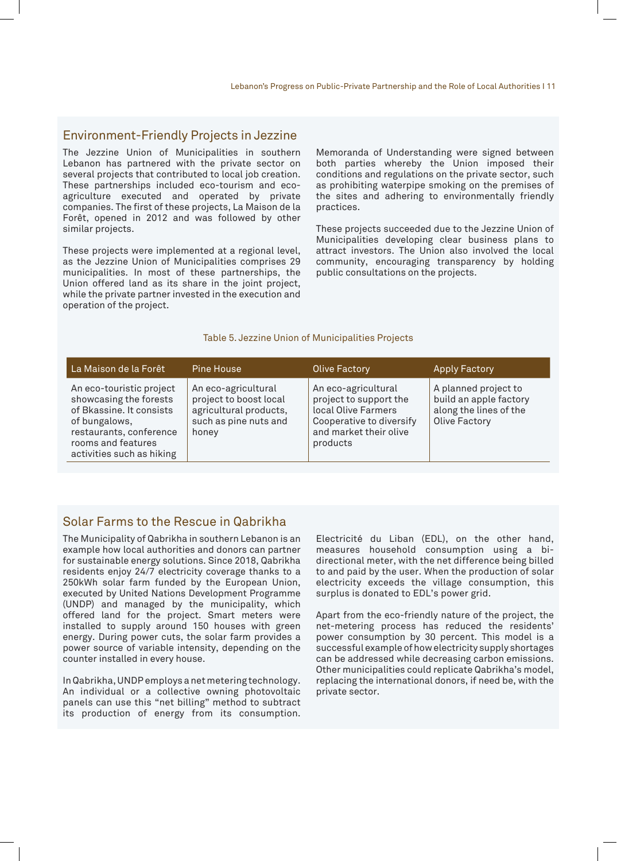#### Environment-Friendly Projects in Jezzine

The Jezzine Union of Municipalities in southern Lebanon has partnered with the private sector on several projects that contributed to local job creation. These partnerships included eco-tourism and ecoagriculture executed and operated by private companies. The first of these projects, La Maison de la Forêt, opened in 2012 and was followed by other similar projects.

These projects were implemented at a regional level, as the Jezzine Union of Municipalities comprises 29 municipalities. In most of these partnerships, the Union offered land as its share in the joint project, while the private partner invested in the execution and operation of the project.

Memoranda of Understanding were signed between both parties whereby the Union imposed their conditions and regulations on the private sector, such as prohibiting waterpipe smoking on the premises of the sites and adhering to environmentally friendly practices.

These projects succeeded due to the Jezzine Union of Municipalities developing clear business plans to attract investors. The Union also involved the local community, encouraging transparency by holding public consultations on the projects.

#### Table 5. Jezzine Union of Municipalities Projects

| La Maison de la Forêt                                                                                                                                                         | <b>Pine House</b>                                                                                         | <b>Olive Factory</b>                                                                                                                   | <b>Apply Factory</b>                                                                             |
|-------------------------------------------------------------------------------------------------------------------------------------------------------------------------------|-----------------------------------------------------------------------------------------------------------|----------------------------------------------------------------------------------------------------------------------------------------|--------------------------------------------------------------------------------------------------|
| An eco-touristic project<br>showcasing the forests<br>of Bkassine. It consists<br>of bungalows,<br>restaurants, conference<br>rooms and features<br>activities such as hiking | An eco-agricultural<br>project to boost local<br>agricultural products,<br>such as pine nuts and<br>honey | An eco-agricultural<br>project to support the<br>local Olive Farmers<br>Cooperative to diversify<br>and market their olive<br>products | A planned project to<br>build an apple factory<br>along the lines of the<br><b>Olive Factory</b> |

#### Solar Farms to the Rescue in Qabrikha

The Municipality of Qabrikha in southern Lebanon is an example how local authorities and donors can partner for sustainable energy solutions. Since 2018, Qabrikha residents enjoy 24/7 electricity coverage thanks to a 250kWh solar farm funded by the European Union, executed by United Nations Development Programme (UNDP) and managed by the municipality, which offered land for the project. Smart meters were installed to supply around 150 houses with green energy. During power cuts, the solar farm provides a power source of variable intensity, depending on the counter installed in every house.

In Qabrikha, UNDP employs a net metering technology. An individual or a collective owning photovoltaic panels can use this "net billing" method to subtract its production of energy from its consumption.

Electricité du Liban (EDL), on the other hand, measures household consumption using a bidirectional meter, with the net difference being billed to and paid by the user. When the production of solar electricity exceeds the village consumption, this surplus is donated to EDL's power grid.

Apart from the eco-friendly nature of the project, the net-metering process has reduced the residents' power consumption by 30 percent. This model is a successful example of how electricity supply shortages can be addressed while decreasing carbon emissions. Other municipalities could replicate Qabrikha's model, replacing the international donors, if need be, with the private sector.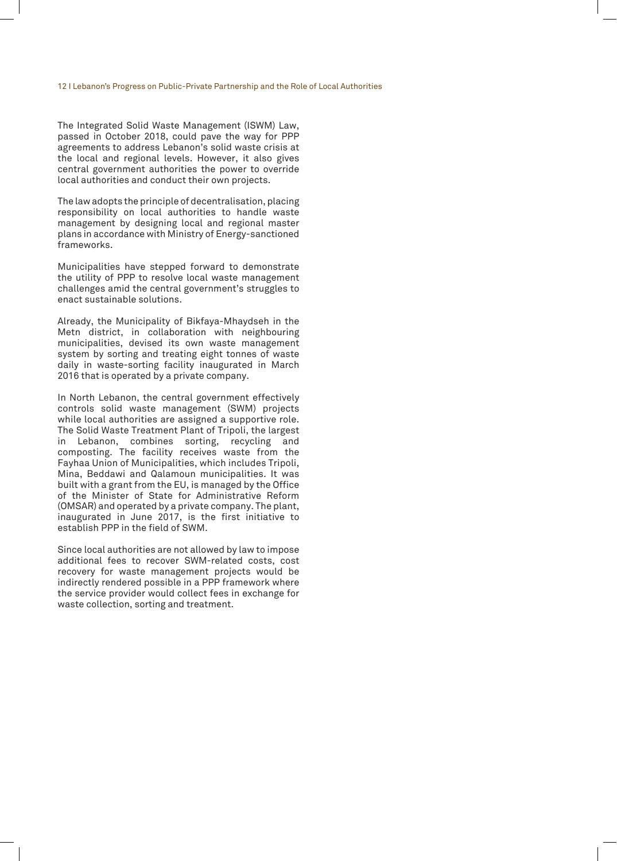The Integrated Solid Waste Management (ISWM) Law, passed in October 2018, could pave the way for PPP agreements to address Lebanon's solid waste crisis at the local and regional levels. However, it also gives central government authorities the power to override local authorities and conduct their own projects.

The law adopts the principle of decentralisation, placing responsibility on local authorities to handle waste management by designing local and regional master plans in accordance with Ministry of Energy-sanctioned frameworks.

Municipalities have stepped forward to demonstrate the utility of PPP to resolve local waste management challenges amid the central government's struggles to enact sustainable solutions.

Already, the Municipality of Bikfaya-Mhaydseh in the Metn district, in collaboration with neighbouring municipalities, devised its own waste management system by sorting and treating eight tonnes of waste daily in waste-sorting facility inaugurated in March 2016 that is operated by a private company.

In North Lebanon, the central government effectively controls solid waste management (SWM) projects while local authorities are assigned a supportive role. The Solid Waste Treatment Plant of Tripoli, the largest in Lebanon, combines sorting, recycling and composting. The facility receives waste from the Fayhaa Union of Municipalities, which includes Tripoli, Mina, Beddawi and Qalamoun municipalities. It was built with a grant from the EU, is managed by the Office of the Minister of State for Administrative Reform (OMSAR) and operated by a private company. The plant, inaugurated in June 2017, is the first initiative to establish PPP in the field of SWM.

Since local authorities are not allowed by law to impose additional fees to recover SWM-related costs, cost recovery for waste management projects would be indirectly rendered possible in a PPP framework where the service provider would collect fees in exchange for waste collection, sorting and treatment.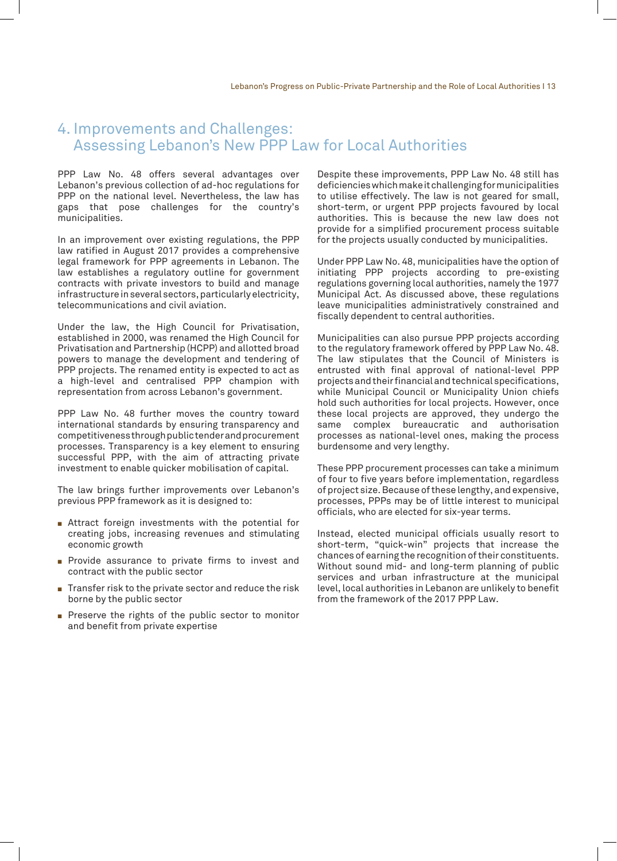## 4. Improvements and Challenges: Assessing Lebanon's New PPP Law for Local Authorities

PPP Law No. 48 offers several advantages over Lebanon's previous collection of ad-hoc regulations for PPP on the national level. Nevertheless, the law has gaps that pose challenges for the country's municipalities.

In an improvement over existing regulations, the PPP law ratified in August 2017 provides a comprehensive legal framework for PPP agreements in Lebanon. The law establishes a regulatory outline for government contracts with private investors to build and manage infrastructure in several sectors, particularly electricity, telecommunications and civil aviation.

Under the law, the High Council for Privatisation, established in 2000, was renamed the High Council for Privatisation and Partnership (HCPP) and allotted broad powers to manage the development and tendering of PPP projects. The renamed entity is expected to act as a high-level and centralised PPP champion with representation from across Lebanon's government.

PPP Law No. 48 further moves the country toward international standards by ensuring transparency and competitiveness through public tender and procurement processes. Transparency is a key element to ensuring successful PPP, with the aim of attracting private investment to enable quicker mobilisation of capital.

The law brings further improvements over Lebanon's previous PPP framework as it is designed to:

- $\blacksquare$  Attract foreign investments with the potential for creating jobs, increasing revenues and stimulating economic growth
- **Provide assurance to private firms to invest and** contract with the public sector
- $\blacksquare$  Transfer risk to the private sector and reduce the risk borne by the public sector
- Preserve the rights of the public sector to monitor and benefit from private expertise

Despite these improvements, PPP Law No. 48 still has deficiencies which make it challenging for municipalities to utilise effectively. The law is not geared for small, short-term, or urgent PPP projects favoured by local authorities. This is because the new law does not provide for a simplified procurement process suitable for the projects usually conducted by municipalities.

Under PPP Law No. 48, municipalities have the option of initiating PPP projects according to pre-existing regulations governing local authorities, namely the 1977 Municipal Act. As discussed above, these regulations leave municipalities administratively constrained and fiscally dependent to central authorities.

Municipalities can also pursue PPP projects according to the regulatory framework offered by PPP Law No. 48. The law stipulates that the Council of Ministers is entrusted with final approval of national-level PPP projects and their financial and technical specifications, while Municipal Council or Municipality Union chiefs hold such authorities for local projects. However, once these local projects are approved, they undergo the same complex bureaucratic and authorisation processes as national-level ones, making the process burdensome and very lengthy.

These PPP procurement processes can take a minimum of four to five years before implementation, regardless of project size. Because of these lengthy, and expensive, processes, PPPs may be of little interest to municipal officials, who are elected for six-year terms.

Instead, elected municipal officials usually resort to short-term, "quick-win" projects that increase the chances of earning the recognition of their constituents. Without sound mid- and long-term planning of public services and urban infrastructure at the municipal level, local authorities in Lebanon are unlikely to benefit from the framework of the 2017 PPP Law.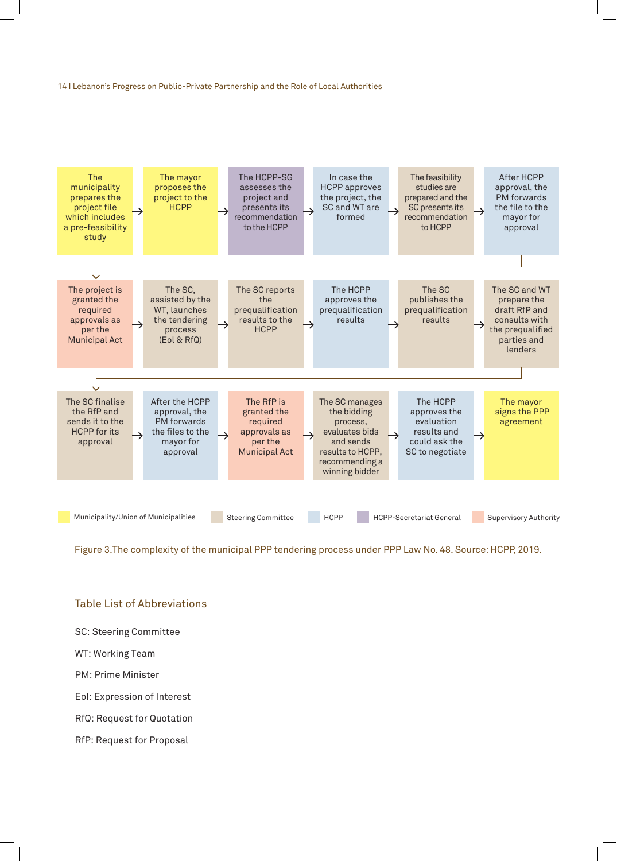

Figure 3.The complexity of the municipal PPP tendering process under PPP Law No. 48. Source: HCPP, 2019.

#### Table List of Abbreviations

- SC: Steering Committee
- WT: Working Team
- PM: Prime Minister
- EoI: Expression of Interest
- RfQ: Request for Quotation
- RfP: Request for Proposal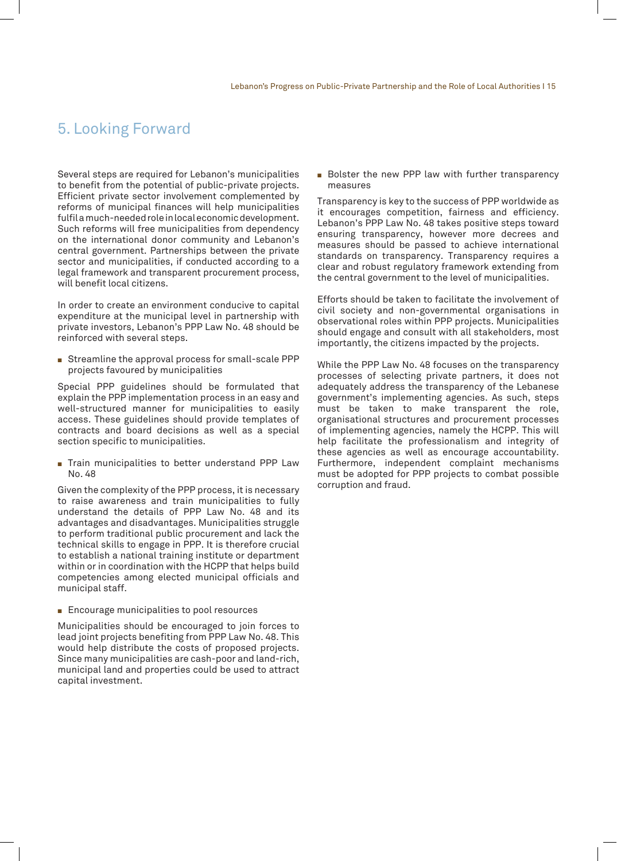# 5. Looking Forward

Several steps are required for Lebanon's municipalities to benefit from the potential of public-private projects. Efficient private sector involvement complemented by reforms of municipal finances will help municipalities fulfil a much-needed role in local economic development. Such reforms will free municipalities from dependency on the international donor community and Lebanon's central government. Partnerships between the private sector and municipalities, if conducted according to a legal framework and transparent procurement process, will benefit local citizens.

In order to create an environment conducive to capital expenditure at the municipal level in partnership with private investors, Lebanon's PPP Law No. 48 should be reinforced with several steps.

 $\blacksquare$  Streamline the approval process for small-scale PPP projects favoured by municipalities

Special PPP guidelines should be formulated that explain the PPP implementation process in an easy and well-structured manner for municipalities to easily access. These guidelines should provide templates of contracts and board decisions as well as a special section specific to municipalities.

Train municipalities to better understand PPP Law No. 48

Given the complexity of the PPP process, it is necessary to raise awareness and train municipalities to fully understand the details of PPP Law No. 48 and its advantages and disadvantages. Municipalities struggle to perform traditional public procurement and lack the technical skills to engage in PPP. It is therefore crucial to establish a national training institute or department within or in coordination with the HCPP that helps build competencies among elected municipal officials and municipal staff.

 $\blacksquare$  Encourage municipalities to pool resources

Municipalities should be encouraged to join forces to lead joint projects benefiting from PPP Law No. 48. This would help distribute the costs of proposed projects. Since many municipalities are cash-poor and land-rich, municipal land and properties could be used to attract capital investment.

Bolster the new PPP law with further transparency measures

Transparency is key to the success of PPP worldwide as it encourages competition, fairness and efficiency. Lebanon's PPP Law No. 48 takes positive steps toward ensuring transparency, however more decrees and measures should be passed to achieve international standards on transparency. Transparency requires a clear and robust regulatory framework extending from the central government to the level of municipalities.

Efforts should be taken to facilitate the involvement of civil society and non-governmental organisations in observational roles within PPP projects. Municipalities should engage and consult with all stakeholders, most importantly, the citizens impacted by the projects.

While the PPP Law No. 48 focuses on the transparency processes of selecting private partners, it does not adequately address the transparency of the Lebanese government's implementing agencies. As such, steps must be taken to make transparent the role, organisational structures and procurement processes of implementing agencies, namely the HCPP. This will help facilitate the professionalism and integrity of these agencies as well as encourage accountability. Furthermore, independent complaint mechanisms must be adopted for PPP projects to combat possible corruption and fraud.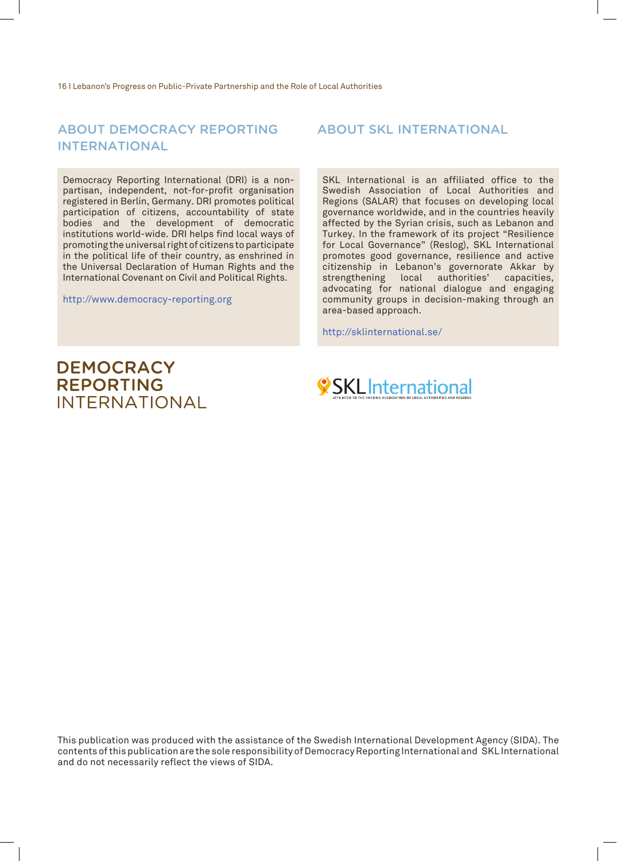#### ABOUT DEMOCRACY REPORTING ABOUT SKL INTERNATIONAL INTERNATIONAL

Democracy Reporting International (DRI) is a nonpartisan, independent, not-for-profit organisation registered in Berlin, Germany. DRI promotes political participation of citizens, accountability of state bodies and the development of democratic institutions world-wide. DRI helps find local ways of promoting the universal right of citizens to participate in the political life of their country, as enshrined in the Universal Declaration of Human Rights and the International Covenant on Civil and Political Rights.

http://www.democracy-reporting.org

SKL International is an affiliated office to the Swedish Association of Local Authorities and Regions (SALAR) that focuses on developing local governance worldwide, and in the countries heavily affected by the Syrian crisis, such as Lebanon and Turkey. In the framework of its project "Resilience for Local Governance" (Reslog), SKL International promotes good governance, resilience and active citizenship in Lebanon's governorate Akkar by strengthening local authorities' capacities, advocating for national dialogue and engaging community groups in decision-making through an area-based approach.

http://sklinternational.se/

# **DEMOCRACY REPORTING INTERNATIONAL**



This publication was produced with the assistance of the Swedish International Development Agency (SIDA). The contents of this publication are the sole responsibility of Democracy Reporting International and SKL International and do not necessarily reflect the views of SIDA.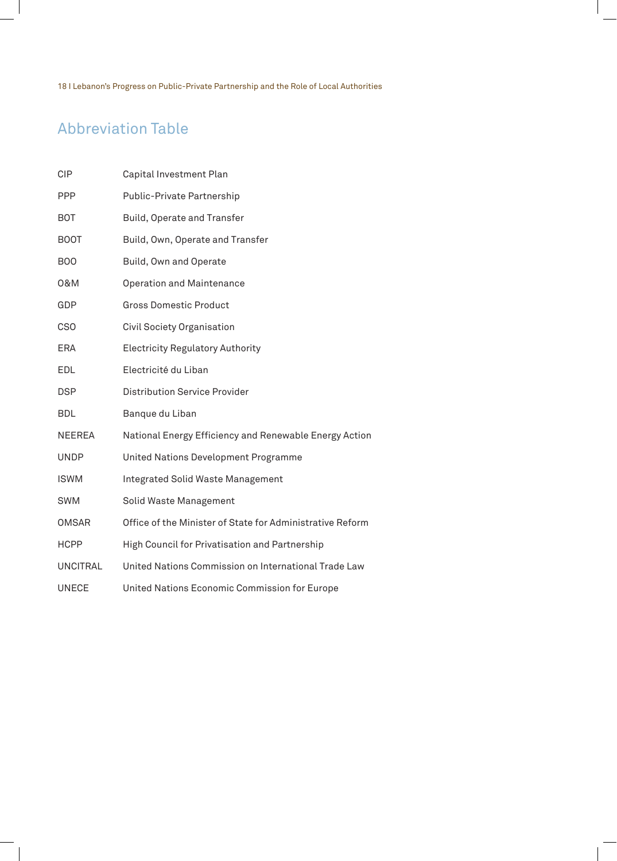# Abbreviation Table

| <b>CIP</b>      | Capital Investment Plan                                   |
|-----------------|-----------------------------------------------------------|
| <b>PPP</b>      | Public-Private Partnership                                |
| <b>BOT</b>      | Build, Operate and Transfer                               |
| <b>BOOT</b>     | Build, Own, Operate and Transfer                          |
| <b>BOO</b>      | Build, Own and Operate                                    |
| 0&M             | <b>Operation and Maintenance</b>                          |
| GDP             | <b>Gross Domestic Product</b>                             |
| <b>CSO</b>      | Civil Society Organisation                                |
| ERA             | <b>Electricity Regulatory Authority</b>                   |
| <b>EDL</b>      | Electricité du Liban                                      |
| <b>DSP</b>      | <b>Distribution Service Provider</b>                      |
| <b>BDL</b>      | Banque du Liban                                           |
| <b>NEEREA</b>   | National Energy Efficiency and Renewable Energy Action    |
| <b>UNDP</b>     | United Nations Development Programme                      |
| <b>ISWM</b>     | <b>Integrated Solid Waste Management</b>                  |
| <b>SWM</b>      | Solid Waste Management                                    |
| <b>OMSAR</b>    | Office of the Minister of State for Administrative Reform |
| <b>HCPP</b>     | High Council for Privatisation and Partnership            |
| <b>UNCITRAL</b> | United Nations Commission on International Trade Law      |
| <b>UNECE</b>    | United Nations Economic Commission for Europe             |